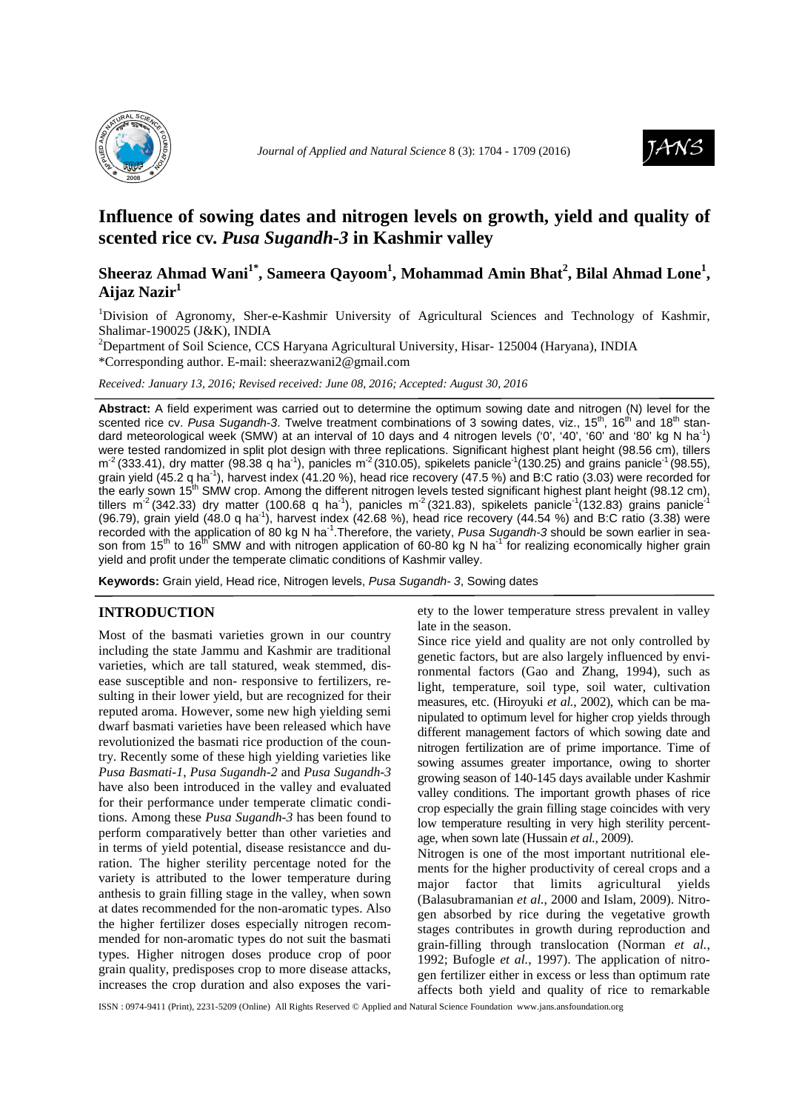



# **Influence of sowing dates and nitrogen levels on growth, yield and quality of scented rice cv.** *Pusa Sugandh-3* **in Kashmir valley**

## **Sheeraz Ahmad Wani1\*, Sameera Qayoom<sup>1</sup> , Mohammad Amin Bhat<sup>2</sup> , Bilal Ahmad Lone<sup>1</sup> , Aijaz Nazir<sup>1</sup>**

<sup>1</sup>Division of Agronomy, Sher-e-Kashmir University of Agricultural Sciences and Technology of Kashmir, Shalimar-190025 (J&K), INDIA

<sup>2</sup>Department of Soil Science, CCS Haryana Agricultural University, Hisar- 125004 (Haryana), INDIA \*Corresponding author. E-mail: sheerazwani2@gmail.com

*Received: January 13, 2016; Revised received: June 08, 2016; Accepted: August 30, 2016*

**Abstract:** A field experiment was carried out to determine the optimum sowing date and nitrogen (N) level for the scented rice cv. Pusa Sugandh-3. Twelve treatment combinations of 3 sowing dates, viz., 15<sup>th</sup>, 16<sup>th</sup> and 18<sup>th</sup> standard meteorological week (SMW) at an interval of 10 days and 4 nitrogen levels ('0', '40', '60' and '80' kg N ha<sup>-1</sup>) were tested randomized in split plot design with three replications. Significant highest plant height (98.56 cm), tillers  $m^2$ (333.41), dry matter (98.38 q ha<sup>-1</sup>), panicles m<sup>-2</sup>(310.05), spikelets panicle<sup>-1</sup>(130.25) and grains panicle<sup>-1</sup>(98.55), grain yield (45.2 q ha<sup>-1</sup>), harvest index (41.20 %), head rice recovery (47.5 %) and B:C ratio (3.03) were recorded for the early sown 15<sup>th</sup> SMW crop. Among the different nitrogen levels tested significant highest plant height (98.12 cm), tillers m<sup>-2</sup> (342.33) dry matter (100.68 q ha<sup>-1</sup>), panicles m<sup>-2</sup> (321.83), spikelets panicle<sup>-1</sup> (132.83) grains panicle<sup>-1</sup> (96.79), grain yield (48.0 q ha<sup>-1</sup>), harvest index (42.68 %), head rice recovery (44.54 %) and B:C ratio (3.38) were recorded with the application of 80 kg N ha<sup>-1</sup>. Therefore, the variety, Pusa Sugandh-3 should be sown earlier in season from 15<sup>th</sup> to 16<sup>th</sup> SMW and with nitrogen application of 60-80 kg N ha<sup>-1</sup> for realizing economically higher grain yield and profit under the temperate climatic conditions of Kashmir valley.

**Keywords:** Grain yield, Head rice, Nitrogen levels, Pusa Sugandh- 3, Sowing dates

## **INTRODUCTION**

Most of the basmati varieties grown in our country including the state Jammu and Kashmir are traditional varieties, which are tall statured, weak stemmed, disease susceptible and non- responsive to fertilizers, resulting in their lower yield, but are recognized for their reputed aroma. However, some new high yielding semi dwarf basmati varieties have been released which have revolutionized the basmati rice production of the country. Recently some of these high yielding varieties like *Pusa Basmati-1*, *Pusa Sugandh-2* and *Pusa Sugandh-3* have also been introduced in the valley and evaluated for their performance under temperate climatic conditions. Among these *Pusa Sugandh-3* has been found to perform comparatively better than other varieties and in terms of yield potential, disease resistancce and duration. The higher sterility percentage noted for the variety is attributed to the lower temperature during anthesis to grain filling stage in the valley, when sown at dates recommended for the non-aromatic types. Also the higher fertilizer doses especially nitrogen recommended for non-aromatic types do not suit the basmati types. Higher nitrogen doses produce crop of poor grain quality, predisposes crop to more disease attacks, increases the crop duration and also exposes the variety to the lower temperature stress prevalent in valley late in the season.

Since rice yield and quality are not only controlled by genetic factors, but are also largely influenced by environmental factors (Gao and Zhang, 1994), such as light, temperature, soil type, soil water, cultivation measures, etc. (Hiroyuki *et al.*, 2002), which can be manipulated to optimum level for higher crop yields through different management factors of which sowing date and nitrogen fertilization are of prime importance. Time of sowing assumes greater importance, owing to shorter growing season of 140-145 days available under Kashmir valley conditions. The important growth phases of rice crop especially the grain filling stage coincides with very low temperature resulting in very high sterility percentage, when sown late (Hussain *et al.*, 2009).

Nitrogen is one of the most important nutritional elements for the higher productivity of cereal crops and a major factor that limits agricultural yields (Balasubramanian *et al.*, 2000 and Islam, 2009). Nitrogen absorbed by rice during the vegetative growth stages contributes in growth during reproduction and grain-filling through translocation (Norman *et al.*, 1992; Bufogle *et al.*, 1997). The application of nitrogen fertilizer either in excess or less than optimum rate affects both yield and quality of rice to remarkable

ISSN : 0974-9411 (Print), 2231-5209 (Online) All Rights Reserved © Applied and Natural Science Foundation www.jans.ansfoundation.org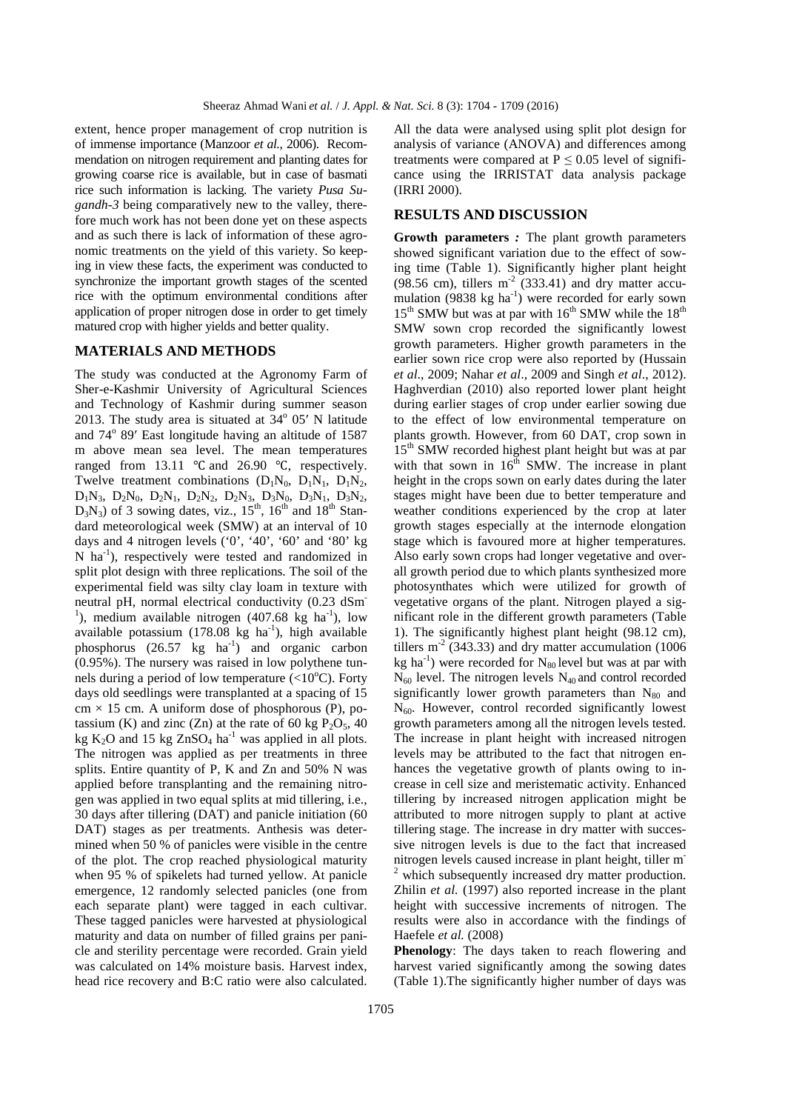extent, hence proper management of crop nutrition is of immense importance (Manzoor *et al.*, 2006). Recommendation on nitrogen requirement and planting dates for growing coarse rice is available, but in case of basmati rice such information is lacking. The variety *Pusa Sugandh-3* being comparatively new to the valley, therefore much work has not been done yet on these aspects and as such there is lack of information of these agronomic treatments on the yield of this variety. So keeping in view these facts, the experiment was conducted to synchronize the important growth stages of the scented rice with the optimum environmental conditions after application of proper nitrogen dose in order to get timely matured crop with higher yields and better quality.

#### **MATERIALS AND METHODS**

The study was conducted at the Agronomy Farm of Sher-e-Kashmir University of Agricultural Sciences and Technology of Kashmir during summer season 2013. The study area is situated at  $34^{\circ}$  05' N latitude and 74° 89' East longitude having an altitude of 1587 m above mean sea level. The mean temperatures ranged from 13.11 ℃ and 26.90 ℃, respectively. Twelve treatment combinations  $(D_1N_0, D_1N_1, D_1N_2,$  $D_1N_3$ ,  $D_2N_0$ ,  $D_2N_1$ ,  $D_2N_2$ ,  $D_2N_3$ ,  $D_3N_0$ ,  $D_3N_1$ ,  $D_3N_2$ ,  $D_3N_3$ ) of 3 sowing dates, viz., 15<sup>th</sup>, 16<sup>th</sup> and 18<sup>th</sup> Standard meteorological week (SMW) at an interval of 10 days and 4 nitrogen levels ('0', '40', '60' and '80' kg N ha<sup>-1</sup>), respectively were tested and randomized in split plot design with three replications. The soil of the experimental field was silty clay loam in texture with neutral pH, normal electrical conductivity (0.23 dSm - <sup>1</sup>), medium available nitrogen  $(407.68 \text{ kg} \text{ ha}^{-1})$ , low available potassium (178.08 kg ha<sup>-1</sup>), high available phosphorus  $(26.57 \text{ kg} \text{ ha}^{-1})$  and organic carbon (0.95%). The nursery was raised in low polythene tunnels during a period of low temperature  $\langle \langle 10^{\circ} \text{C} \rangle$ . Forty days old seedlings were transplanted at a spacing of 15  $cm \times 15$  cm. A uniform dose of phosphorous (P), potassium (K) and zinc (Zn) at the rate of 60 kg  $P_2O_5$ , 40 kg  $K_2O$  and 15 kg  $ZnSO_4$  ha<sup>-1</sup> was applied in all plots. The nitrogen was applied as per treatments in three splits. Entire quantity of P, K and Zn and 50% N was applied before transplanting and the remaining nitrogen was applied in two equal splits at mid tillering, i.e., 30 days after tillering (DAT) and panicle initiation (60 DAT) stages as per treatments. Anthesis was determined when 50 % of panicles were visible in the centre of the plot. The crop reached physiological maturity when 95 % of spikelets had turned yellow. At panicle emergence, 12 randomly selected panicles (one from each separate plant) were tagged in each cultivar. These tagged panicles were harvested at physiological maturity and data on number of filled grains per panicle and sterility percentage were recorded. Grain yield was calculated on 14% moisture basis. Harvest index, head rice recovery and B:C ratio were also calculated.

All the data were analysed using split plot design for analysis of variance (ANOVA) and differences among treatments were compared at  $P \le 0.05$  level of significance using the IRRISTAT data analysis package (IRRI 2000).

### **RESULTS AND DISCUSSION**

**Growth parameters** *:* The plant growth parameters showed significant variation due to the effect of sowing time (Table 1). Significantly higher plant height (98.56 cm), tillers  $m^2$  (333.41) and dry matter accumulation (9838 kg ha<sup>-1</sup>) were recorded for early sown  $15<sup>th</sup>$  SMW but was at par with  $16<sup>th</sup>$  SMW while the  $18<sup>th</sup>$ SMW sown crop recorded the significantly lowest growth parameters. Higher growth parameters in the earlier sown rice crop were also reported by (Hussain *et al*., 2009; Nahar *et al*., 2009 and Singh *et al*., 2012). Haghverdian (2010) also reported lower plant height during earlier stages of crop under earlier sowing due to the effect of low environmental temperature on plants growth. However, from 60 DAT, crop sown in 15<sup>th</sup> SMW recorded highest plant height but was at par with that sown in  $16<sup>th</sup>$  SMW. The increase in plant height in the crops sown on early dates during the later stages might have been due to better temperature and weather conditions experienced by the crop at later growth stages especially at the internode elongation stage which is favoured more at higher temperatures. Also early sown crops had longer vegetative and overall growth period due to which plants synthesized more photosynthates which were utilized for growth of vegetative organs of the plant. Nitrogen played a significant role in the different growth parameters (Table 1). The significantly highest plant height (98.12 cm), tillers  $m<sup>2</sup>$  (343.33) and dry matter accumulation (1006) kg ha<sup>-1</sup>) were recorded for N<sub>80</sub> level but was at par with  $N_{60}$  level. The nitrogen levels  $N_{40}$  and control recorded significantly lower growth parameters than  $N_{80}$  and  $N_{60}$ . However, control recorded significantly lowest growth parameters among all the nitrogen levels tested. The increase in plant height with increased nitrogen levels may be attributed to the fact that nitrogen enhances the vegetative growth of plants owing to increase in cell size and meristematic activity. Enhanced tillering by increased nitrogen application might be attributed to more nitrogen supply to plant at active tillering stage. The increase in dry matter with successive nitrogen levels is due to the fact that increased nitrogen levels caused increase in plant height, tiller m-<sup>2</sup> which subsequently increased dry matter production. Zhilin *et al.* (1997) also reported increase in the plant height with successive increments of nitrogen. The results were also in accordance with the findings of Haefele *et al.* (2008)

**Phenology**: The days taken to reach flowering and harvest varied significantly among the sowing dates (Table 1).The significantly higher number of days was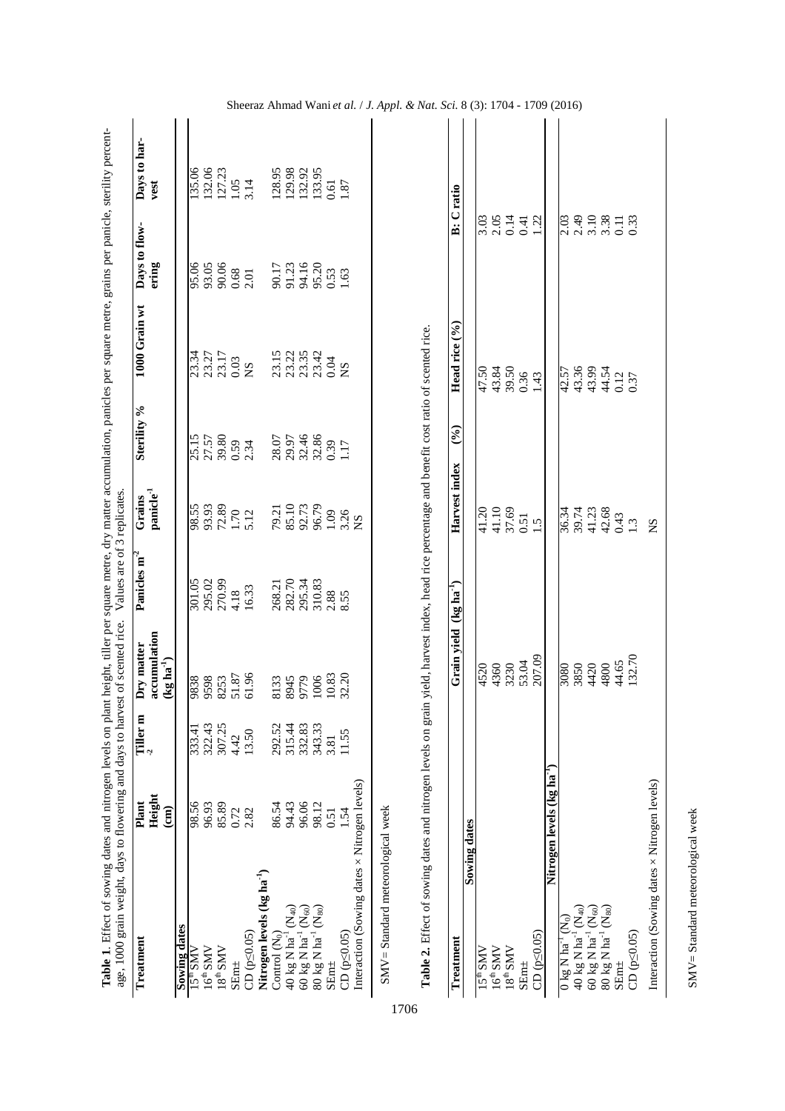| Table 1. Effect of sowing dates and nitrogen levels on plant height, tiller per square metre, dry matter accumulation, panicles per square metre, grains per panicle, sterility percent-<br>age, 1000 grain weight, days to flowering and days to harv |                                    |                         | est of scented rice.                                                                  | Values are of 3 replicates.          |                                         |                                           |                           |                                |                                            |
|--------------------------------------------------------------------------------------------------------------------------------------------------------------------------------------------------------------------------------------------------------|------------------------------------|-------------------------|---------------------------------------------------------------------------------------|--------------------------------------|-----------------------------------------|-------------------------------------------|---------------------------|--------------------------------|--------------------------------------------|
| Treatment                                                                                                                                                                                                                                              | Height<br>Plant<br>$\binom{cm}{2}$ | $\prod_{2}$<br>Tiller m | accumulation<br>Dry matter<br>$(\mathbf{kg}\,\mathbf{ha}^{\text{-}1})$                | Panicles m <sup>-2</sup>             | panicle <sup>-1</sup><br>Grains         | Sterility <sup>9</sup> %                  | 1000 Grain wt             | Days to flow-<br>ering         | Days to har-<br>vest                       |
| Sowing dates                                                                                                                                                                                                                                           |                                    |                         |                                                                                       |                                      |                                         |                                           |                           |                                |                                            |
| $\frac{15^{th}$ SMV<br>16 <sup>th</sup> SMV<br>18 <sup>th</sup> SMV                                                                                                                                                                                    | 98.56                              | 333.41                  | 838<br>8585<br>95855<br>6.55                                                          | 301.05                               |                                         |                                           |                           |                                | 135.06                                     |
|                                                                                                                                                                                                                                                        | 96.93                              | 322.43                  |                                                                                       | 295.02                               |                                         |                                           |                           | 95.06<br>93.05                 |                                            |
|                                                                                                                                                                                                                                                        | 85.89                              | 307.25                  |                                                                                       | 270.99                               | 98.55<br>93.93<br>72.89<br>1.70<br>5.12 | 25.15<br>27.57<br>39.80<br>2.34           | 23.34<br>23.27<br>23.17   | 90.06                          | 132.06<br>127.23                           |
| SEnn#                                                                                                                                                                                                                                                  | 0.72                               | 4.42                    |                                                                                       | 4.18                                 |                                         |                                           | 0.03                      |                                |                                            |
| $CD (p \leq 0.05)$                                                                                                                                                                                                                                     | 2.82                               | 13.50                   |                                                                                       | 16.33                                |                                         |                                           | <b>NS</b>                 | $\frac{0.68}{2.01}$            | 1.05                                       |
| Nitrogen levels (kg ha <sup>-1</sup> )                                                                                                                                                                                                                 |                                    |                         |                                                                                       |                                      |                                         |                                           |                           |                                |                                            |
| Control (N <sub>0</sub> )                                                                                                                                                                                                                              | 86.54                              | 292.52                  | 8133                                                                                  | 268.21<br>282.70<br>295.34<br>310.83 | 79.21<br>85.10<br>96.73<br>96.79        |                                           |                           | 90.17<br>91.23                 |                                            |
| 40 kg N ha <sup>-1</sup> (N <sub>40</sub> )<br>60 kg N ha <sup>-1</sup> (N <sub>60</sub> )<br>80 kg N ha <sup>-1</sup> (N <sub>80</sub> )                                                                                                              | 94.43                              | 315.44                  | 8945                                                                                  |                                      |                                         |                                           | 15<br>323<br>3334<br>3333 |                                |                                            |
|                                                                                                                                                                                                                                                        | 96.06                              | 332.83                  | 9779                                                                                  |                                      |                                         |                                           |                           |                                |                                            |
|                                                                                                                                                                                                                                                        | 98.12                              | 343.33                  | 1006                                                                                  |                                      |                                         |                                           |                           |                                |                                            |
| SEnn <sup>±</sup>                                                                                                                                                                                                                                      | 0.51                               | 3.81                    |                                                                                       |                                      |                                         |                                           | 0.04                      |                                |                                            |
| CD (p≤0.05)                                                                                                                                                                                                                                            | 1.54                               | 11.55                   | 10.83<br>32.20                                                                        | 2.88<br>8.55                         | $1.09$<br>$3.26$<br>$X$ S               | 28.07<br>29.346<br>29.386<br>0.39<br>1.17 | $\overline{S}$            | 94.16<br>95.20<br>0.53<br>1.63 | 128.95<br>129.92<br>121.95<br>1.87<br>1.87 |
| Interaction (Sowing dates x Nitrogen levels)                                                                                                                                                                                                           |                                    |                         |                                                                                       |                                      |                                         |                                           |                           |                                |                                            |
| Table 2. Effect of sowing dates and nitrogen levels on grai<br>SMV= Standard meteorological week                                                                                                                                                       |                                    |                         | in yield, harvest index, head rice percentage and benefit cost ratio of scented rice. |                                      |                                         |                                           |                           |                                |                                            |
| Treatment                                                                                                                                                                                                                                              |                                    |                         | Grain yield                                                                           | $(\text{kg ha}^{-1})$                | Harvest index                           | $(\%)$                                    | Head rice $(\%$           | Ä                              | Cratio                                     |
| Sowing dates                                                                                                                                                                                                                                           |                                    |                         |                                                                                       |                                      |                                         |                                           |                           |                                |                                            |
| $\frac{15^{\text{th}}\text{SMV}}{16^{\text{th}}\text{SMV}}$<br>18 <sup>th</sup> SMV                                                                                                                                                                    |                                    |                         | 4520                                                                                  |                                      | 41.20                                   |                                           | 47.50                     |                                |                                            |
|                                                                                                                                                                                                                                                        |                                    |                         | 4360                                                                                  |                                      |                                         |                                           |                           |                                |                                            |
|                                                                                                                                                                                                                                                        |                                    |                         | 3230                                                                                  |                                      | $41.10$<br>37.69                        |                                           | 43.84<br>39.50            | $\frac{03}{0.05}$              |                                            |
| SEm±                                                                                                                                                                                                                                                   |                                    |                         | 53.04                                                                                 |                                      |                                         |                                           |                           |                                |                                            |
| CD (p≤0.05)                                                                                                                                                                                                                                            |                                    |                         | 207.09                                                                                |                                      | $0.51$<br>1.5                           |                                           | $0.36$<br>1.43            | $0.41$<br>$1.22$               |                                            |
|                                                                                                                                                                                                                                                        | Nitrogen levels (kg ha'')          |                         |                                                                                       |                                      |                                         |                                           |                           |                                |                                            |
| $0 \text{ kg} \text{ N} \text{ ha}^{-1} \text{ (N0)}$                                                                                                                                                                                                  |                                    |                         | 3080                                                                                  |                                      | 36.34                                   |                                           | 42.57                     | 2.03                           |                                            |
| 40 $\bar{k}$ g N ha <sup>-i</sup> (N <sub>40</sub> )<br>60 kg N ha <sup>-1</sup> (N <sub>60</sub> )<br>80 kg N ha <sup>-1</sup> (N <sub>80</sub> )                                                                                                     |                                    |                         | 3850                                                                                  |                                      | 39.74<br>41.23<br>42.68                 |                                           | 43.36<br>43.99            | 2.49                           |                                            |
|                                                                                                                                                                                                                                                        |                                    |                         | 4420                                                                                  |                                      |                                         |                                           |                           |                                |                                            |
|                                                                                                                                                                                                                                                        |                                    |                         | 4800                                                                                  |                                      |                                         |                                           | 44.54                     |                                |                                            |
| $CD (p \leq 0.05)$<br>SEm±                                                                                                                                                                                                                             |                                    |                         | 44.65<br>132.70                                                                       |                                      | $0.43$<br>1.3                           |                                           | $\frac{0.12}{0.37}$       | $3.38$<br>$3.33$<br>$0.33$     |                                            |
| Interaction (Sowing dates x Nitrogen levels)                                                                                                                                                                                                           |                                    |                         |                                                                                       |                                      | SN                                      |                                           |                           |                                |                                            |

Sheeraz Ahmad Wani *et al.* / *J. Appl. & Nat. Sci.* 8 (3): 1704 - 1709 (2016)

SMV=Standard meteorological week SMV= Standard meteorological week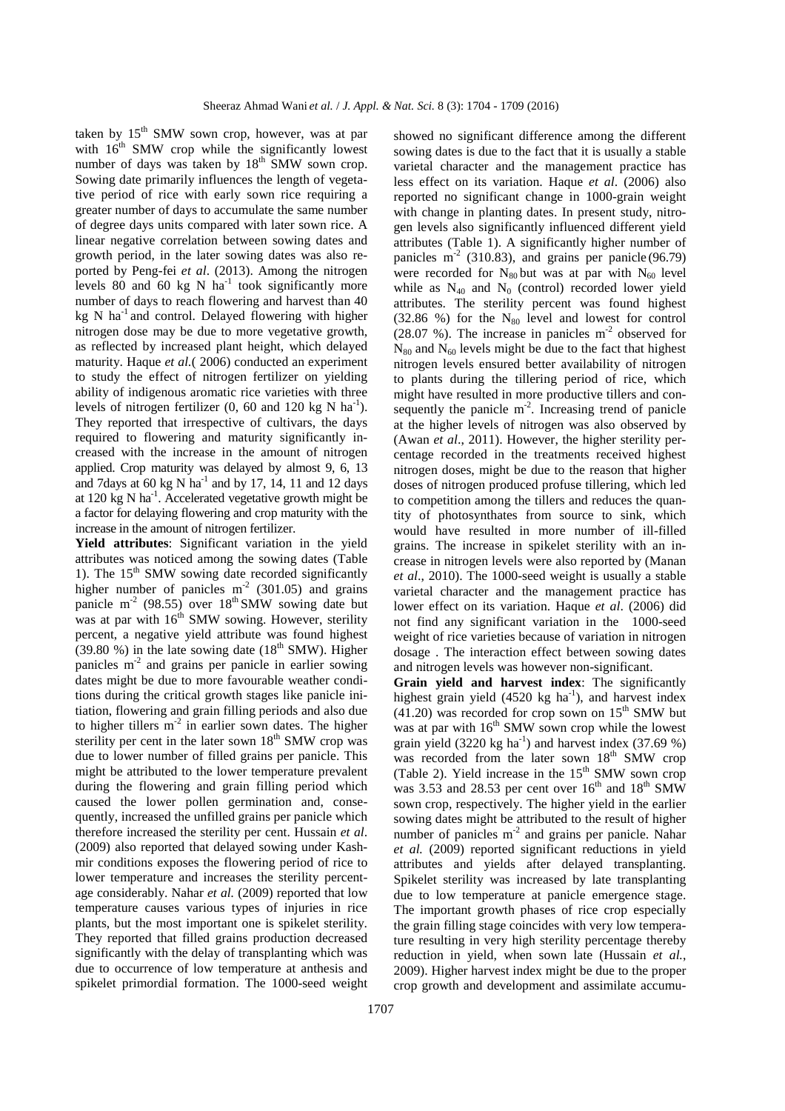taken by 15<sup>th</sup> SMW sown crop, however, was at par with  $16<sup>th</sup>$  SMW crop while the significantly lowest number of days was taken by 18<sup>th</sup> SMW sown crop. Sowing date primarily influences the length of vegetative period of rice with early sown rice requiring a greater number of days to accumulate the same number of degree days units compared with later sown rice. A linear negative correlation between sowing dates and growth period, in the later sowing dates was also reported by Peng-fei *et al*. (2013). Among the nitrogen levels 80 and 60 kg N  $ha^{-1}$  took significantly more number of days to reach flowering and harvest than 40 kg N ha $^{-1}$  and control. Delayed flowering with higher nitrogen dose may be due to more vegetative growth, as reflected by increased plant height, which delayed maturity. Haque *et al.*( 2006) conducted an experiment to study the effect of nitrogen fertilizer on yielding ability of indigenous aromatic rice varieties with three levels of nitrogen fertilizer  $(0, 60 \text{ and } 120 \text{ kg N ha}^{-1})$ . They reported that irrespective of cultivars, the days required to flowering and maturity significantly increased with the increase in the amount of nitrogen applied. Crop maturity was delayed by almost 9, 6, 13 and 7days at 60 kg N ha $^{-1}$  and by 17, 14, 11 and 12 days at 120 kg N ha-1. Accelerated vegetative growth might be a factor for delaying flowering and crop maturity with the increase in the amount of nitrogen fertilizer.

**Yield attributes**: Significant variation in the yield attributes was noticed among the sowing dates (Table 1). The  $15<sup>th</sup>$  SMW sowing date recorded significantly higher number of panicles  $m<sup>2</sup>$  (301.05) and grains panicle m<sup>-2</sup> (98.55) over  $18<sup>th</sup>$  SMW sowing date but was at par with  $16<sup>th</sup>$  SMW sowing. However, sterility percent, a negative yield attribute was found highest (39.80 %) in the late sowing date ( $18<sup>th</sup>$  SMW). Higher panicles m-2 and grains per panicle in earlier sowing dates might be due to more favourable weather conditions during the critical growth stages like panicle initiation, flowering and grain filling periods and also due to higher tillers  $m<sup>-2</sup>$  in earlier sown dates. The higher sterility per cent in the later sown  $18<sup>th</sup>$  SMW crop was due to lower number of filled grains per panicle. This might be attributed to the lower temperature prevalent during the flowering and grain filling period which caused the lower pollen germination and, consequently, increased the unfilled grains per panicle which therefore increased the sterility per cent. Hussain *et al*. (2009) also reported that delayed sowing under Kashmir conditions exposes the flowering period of rice to lower temperature and increases the sterility percentage considerably. Nahar *et al.* (2009) reported that low temperature causes various types of injuries in rice plants, but the most important one is spikelet sterility. They reported that filled grains production decreased significantly with the delay of transplanting which was due to occurrence of low temperature at anthesis and spikelet primordial formation. The 1000-seed weight showed no significant difference among the different sowing dates is due to the fact that it is usually a stable varietal character and the management practice has less effect on its variation. Haque *et al*. (2006) also reported no significant change in 1000-grain weight with change in planting dates. In present study, nitrogen levels also significantly influenced different yield attributes (Table 1). A significantly higher number of panicles  $m<sup>2</sup>$  (310.83), and grains per panicle (96.79) were recorded for  $N_{80}$  but was at par with  $N_{60}$  level while as  $N_{40}$  and  $N_0$  (control) recorded lower yield attributes. The sterility percent was found highest  $(32.86 \%)$  for the N<sub>80</sub> level and lowest for control (28.07 %). The increase in panicles  $m<sup>2</sup>$  observed for  $N_{80}$  and  $N_{60}$  levels might be due to the fact that highest nitrogen levels ensured better availability of nitrogen to plants during the tillering period of rice, which might have resulted in more productive tillers and consequently the panicle m-2. Increasing trend of panicle at the higher levels of nitrogen was also observed by (Awan *et al*., 2011). However, the higher sterility percentage recorded in the treatments received highest nitrogen doses, might be due to the reason that higher doses of nitrogen produced profuse tillering, which led to competition among the tillers and reduces the quantity of photosynthates from source to sink, which would have resulted in more number of ill-filled grains. The increase in spikelet sterility with an increase in nitrogen levels were also reported by (Manan *et al*., 2010). The 1000-seed weight is usually a stable varietal character and the management practice has lower effect on its variation. Haque *et al*. (2006) did not find any significant variation in the 1000-seed weight of rice varieties because of variation in nitrogen dosage . The interaction effect between sowing dates and nitrogen levels was however non-significant.

**Grain yield and harvest index**: The significantly highest grain yield  $(4520 \text{ kg ha}^{-1})$ , and harvest index  $(41.20)$  was recorded for crop sown on 15<sup>th</sup> SMW but was at par with 16<sup>th</sup> SMW sown crop while the lowest grain yield  $(3220 \text{ kg ha}^{-1})$  and harvest index  $(37.69 \text{ %})$ was recorded from the later sown  $18<sup>th</sup>$  SMW crop (Table 2). Yield increase in the  $15<sup>th</sup>$  SMW sown crop was 3.53 and 28.53 per cent over  $16^{th}$  and  $18^{th}$  SMW sown crop, respectively. The higher yield in the earlier sowing dates might be attributed to the result of higher number of panicles m<sup>-2</sup> and grains per panicle. Nahar *et al.* (2009) reported significant reductions in yield attributes and yields after delayed transplanting. Spikelet sterility was increased by late transplanting due to low temperature at panicle emergence stage. The important growth phases of rice crop especially the grain filling stage coincides with very low temperature resulting in very high sterility percentage thereby reduction in yield, when sown late (Hussain *et al.*, 2009). Higher harvest index might be due to the proper crop growth and development and assimilate accumu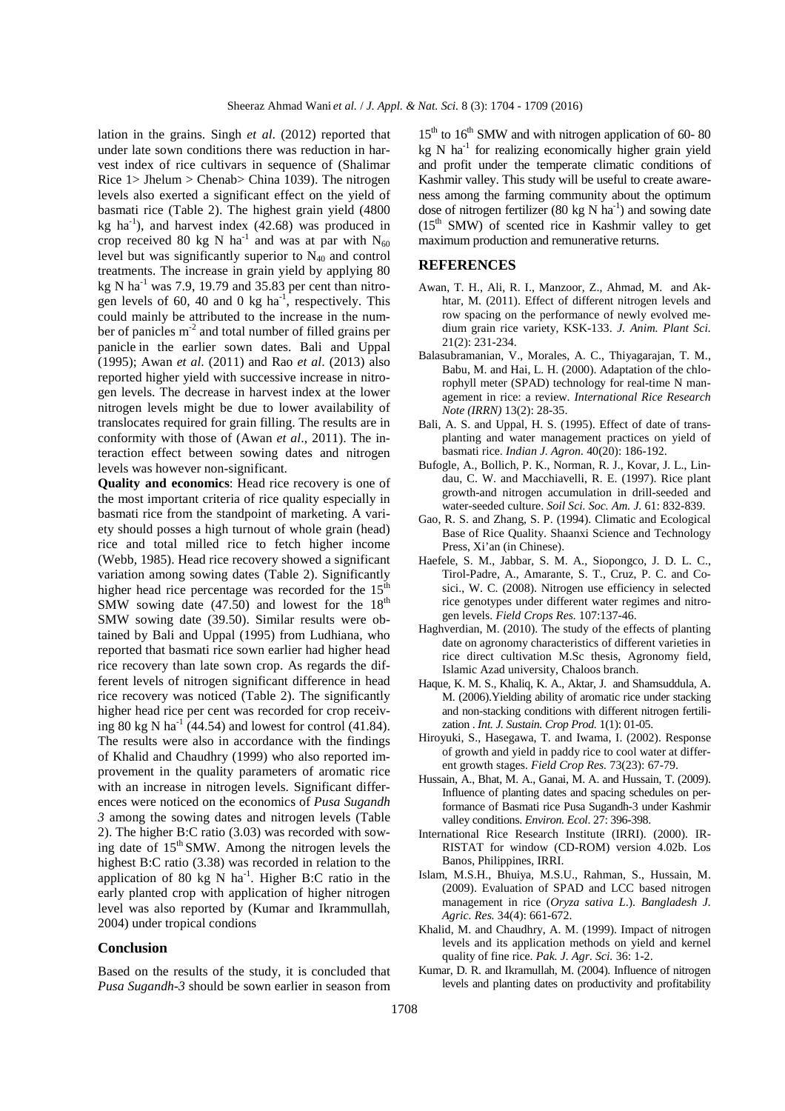lation in the grains. Singh *et al*. (2012) reported that under late sown conditions there was reduction in harvest index of rice cultivars in sequence of (Shalimar Rice 1> Jhelum > Chenab> China 1039). The nitrogen levels also exerted a significant effect on the yield of basmati rice (Table 2). The highest grain yield (4800 kg ha<sup>-1</sup>), and harvest index (42.68) was produced in crop received 80 kg N ha<sup>-1</sup> and was at par with  $N_{60}$ level but was significantly superior to  $N_{40}$  and control treatments. The increase in grain yield by applying 80 kg N ha $^{-1}$  was 7.9, 19.79 and 35.83 per cent than nitrogen levels of 60, 40 and 0 kg  $ha^{-1}$ , respectively. This could mainly be attributed to the increase in the number of panicles m-2 and total number of filled grains per panicle in the earlier sown dates. Bali and Uppal (1995); Awan *et al*. (2011) and Rao *et al*. (2013) also reported higher yield with successive increase in nitrogen levels. The decrease in harvest index at the lower nitrogen levels might be due to lower availability of translocates required for grain filling. The results are in conformity with those of (Awan *et al*., 2011). The interaction effect between sowing dates and nitrogen levels was however non-significant.

**Quality and economics**: Head rice recovery is one of the most important criteria of rice quality especially in basmati rice from the standpoint of marketing. A variety should posses a high turnout of whole grain (head) rice and total milled rice to fetch higher income (Webb, 1985). Head rice recovery showed a significant variation among sowing dates (Table 2). Significantly higher head rice percentage was recorded for the  $15<sup>th</sup>$ SMW sowing date  $(47.50)$  and lowest for the  $18<sup>th</sup>$ SMW sowing date (39.50). Similar results were obtained by Bali and Uppal (1995) from Ludhiana, who reported that basmati rice sown earlier had higher head rice recovery than late sown crop. As regards the different levels of nitrogen significant difference in head rice recovery was noticed (Table 2). The significantly higher head rice per cent was recorded for crop receiving 80 kg N ha<sup>-1</sup> (44.54) and lowest for control (41.84). The results were also in accordance with the findings of Khalid and Chaudhry (1999) who also reported improvement in the quality parameters of aromatic rice with an increase in nitrogen levels. Significant differences were noticed on the economics of *Pusa Sugandh 3* among the sowing dates and nitrogen levels (Table 2). The higher B:C ratio (3.03) was recorded with sowing date of  $15<sup>th</sup>$  SMW. Among the nitrogen levels the highest B:C ratio (3.38) was recorded in relation to the application of 80 kg N  $ha^{-1}$ . Higher B:C ratio in the early planted crop with application of higher nitrogen level was also reported by (Kumar and Ikrammullah, 2004) under tropical condions

### **Conclusion**

Based on the results of the study, it is concluded that *Pusa Sugandh-3* should be sown earlier in season from

 $15<sup>th</sup>$  to  $16<sup>th</sup>$  SMW and with nitrogen application of 60-80 kg N ha<sup>-1</sup> for realizing economically higher grain yield and profit under the temperate climatic conditions of Kashmir valley. This study will be useful to create awareness among the farming community about the optimum dose of nitrogen fertilizer  $(80 \text{ kg N} \text{ ha}^{-1})$  and sowing date  $(15<sup>th</sup>$  SMW) of scented rice in Kashmir valley to get maximum production and remunerative returns.

#### **REFERENCES**

- Awan, T. H., Ali, R. I., Manzoor, Z., Ahmad, M. and Akhtar, M. (2011). Effect of different nitrogen levels and row spacing on the performance of newly evolved medium grain rice variety, KSK-133. *J. Anim. Plant Sci.* 21(2): 231-234.
- Balasubramanian, V., Morales, A. C., Thiyagarajan, T. M., Babu, M. and Hai, L. H. (2000). Adaptation of the chlorophyll meter (SPAD) technology for real-time N management in rice: a review. *International Rice Research Note (IRRN)* 13(2): 28-35.
- Bali, A. S. and Uppal, H. S. (1995). Effect of date of transplanting and water management practices on yield of basmati rice. *Indian J. Agron.* 40(20): 186-192.
- Bufogle, A., Bollich, P. K., Norman, R. J., Kovar, J. L., Lindau, C. W. and Macchiavelli, R. E. (1997). Rice plant growth-and nitrogen accumulation in drill-seeded and water-seeded culture. *Soil Sci. Soc. Am. J.* 61: 832-839.
- Gao, R. S. and Zhang, S. P. (1994). Climatic and Ecological Base of Rice Quality. Shaanxi Science and Technology Press, Xi'an (in Chinese).
- Haefele, S. M., Jabbar, S. M. A., Siopongco, J. D. L. C., Tirol-Padre, A., Amarante, S. T., Cruz, P. C. and Cosici., W. C. (2008). Nitrogen use efficiency in selected rice genotypes under different water regimes and nitrogen levels. *Field Crops Res.* 107:137-46.
- Haghverdian, M. (2010). The study of the effects of planting date on agronomy characteristics of different varieties in rice direct cultivation M.Sc thesis, Agronomy field, Islamic Azad university, Chaloos branch.
- Haque, K. M. S., Khaliq, K. A., Aktar, J. and Shamsuddula, A. M. (2006).Yielding ability of aromatic rice under stacking and non-stacking conditions with different nitrogen fertilization . *Int. J. Sustain. Crop Prod.* 1(1): 01-05.
- Hiroyuki, S., Hasegawa, T. and Iwama, I. (2002). Response of growth and yield in paddy rice to cool water at different growth stages. *Field Crop Res.* 73(23): 67-79.
- Hussain, A., Bhat, M. A., Ganai, M. A. and Hussain, T. (2009). Influence of planting dates and spacing schedules on performance of Basmati rice Pusa Sugandh-3 under Kashmir valley conditions. *Environ. Ecol*. 27: 396-398.
- International Rice Research Institute (IRRI). (2000). IR-RISTAT for window (CD-ROM) version 4.02b. Los Banos, Philippines, IRRI.
- Islam, M.S.H., Bhuiya, M.S.U., Rahman, S., Hussain, M. (2009). Evaluation of SPAD and LCC based nitrogen management in rice (*Oryza sativa L*.). *Bangladesh J. Agric. Res.* 34(4): 661-672.
- Khalid, M. and Chaudhry, A. M. (1999). Impact of nitrogen levels and its application methods on yield and kernel quality of fine rice. *Pak. J. Agr. Sci.* 36: 1-2.
- Kumar, D. R. and Ikramullah, M. (2004). Influence of nitrogen levels and planting dates on productivity and profitability